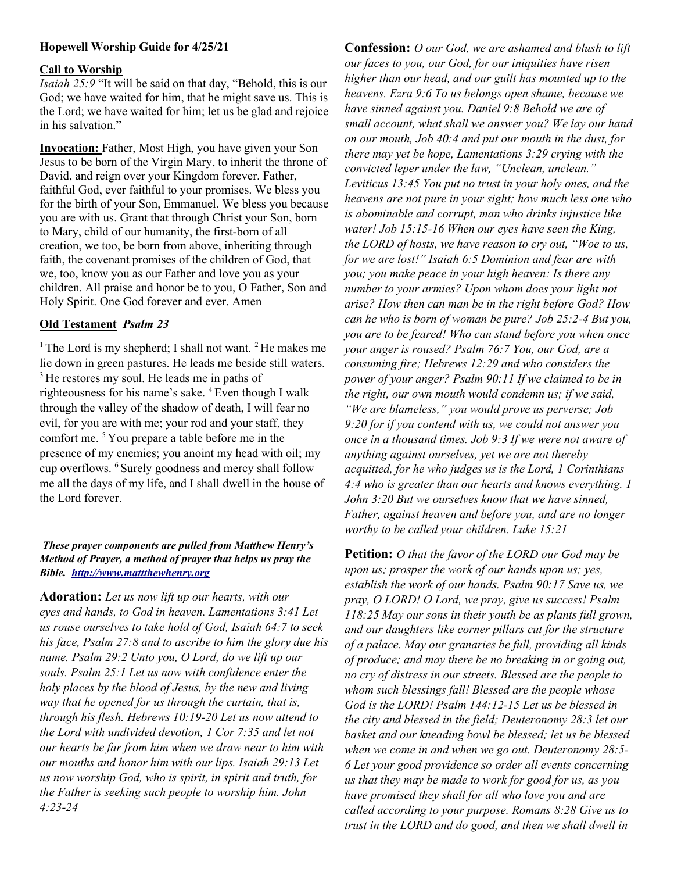## Hopewell Worship Guide for 4/25/21

#### Call to Worship

Isaiah 25:9 "It will be said on that day, "Behold, this is our God; we have waited for him, that he might save us. This is the Lord; we have waited for him; let us be glad and rejoice in his salvation."

Invocation: Father, Most High, you have given your Son Jesus to be born of the Virgin Mary, to inherit the throne of David, and reign over your Kingdom forever. Father, faithful God, ever faithful to your promises. We bless you for the birth of your Son, Emmanuel. We bless you because you are with us. Grant that through Christ your Son, born to Mary, child of our humanity, the first-born of all creation, we too, be born from above, inheriting through faith, the covenant promises of the children of God, that we, too, know you as our Father and love you as your children. All praise and honor be to you, O Father, Son and Holy Spirit. One God forever and ever. Amen

## Old Testament Psalm 23

<sup>1</sup> The Lord is my shepherd; I shall not want. <sup>2</sup> He makes me lie down in green pastures. He leads me beside still waters. <sup>3</sup>He restores my soul. He leads me in paths of righteousness for his name's sake. <sup>4</sup> Even though I walk through the valley of the shadow of death, I will fear no evil, for you are with me; your rod and your staff, they comfort me. <sup>5</sup>You prepare a table before me in the presence of my enemies; you anoint my head with oil; my cup overflows. <sup>6</sup>Surely goodness and mercy shall follow me all the days of my life, and I shall dwell in the house of the Lord forever.

#### These prayer components are pulled from Matthew Henry's Method of Prayer, a method of prayer that helps us pray the Bible. http://www.mattthewhenry.org

Adoration: Let us now lift up our hearts, with our eyes and hands, to God in heaven. Lamentations 3:41 Let us rouse ourselves to take hold of God, Isaiah 64:7 to seek his face, Psalm 27:8 and to ascribe to him the glory due his name. Psalm 29:2 Unto you, O Lord, do we lift up our souls. Psalm 25:1 Let us now with confidence enter the holy places by the blood of Jesus, by the new and living way that he opened for us through the curtain, that is, through his flesh. Hebrews 10:19-20 Let us now attend to the Lord with undivided devotion, 1 Cor 7:35 and let not our hearts be far from him when we draw near to him with our mouths and honor him with our lips. Isaiah 29:13 Let us now worship God, who is spirit, in spirit and truth, for the Father is seeking such people to worship him. John 4:23-24

Confession: O our God, we are ashamed and blush to lift our faces to you, our God, for our iniquities have risen higher than our head, and our guilt has mounted up to the heavens. Ezra 9:6 To us belongs open shame, because we have sinned against you. Daniel 9:8 Behold we are of small account, what shall we answer you? We lay our hand on our mouth, Job 40:4 and put our mouth in the dust, for there may yet be hope, Lamentations 3:29 crying with the convicted leper under the law, "Unclean, unclean." Leviticus 13:45 You put no trust in your holy ones, and the heavens are not pure in your sight; how much less one who is abominable and corrupt, man who drinks injustice like water! Job 15:15-16 When our eyes have seen the King, the LORD of hosts, we have reason to cry out, "Woe to us, for we are lost!" Isaiah 6:5 Dominion and fear are with you; you make peace in your high heaven: Is there any number to your armies? Upon whom does your light not arise? How then can man be in the right before God? How can he who is born of woman be pure? Job 25:2-4 But you, you are to be feared! Who can stand before you when once your anger is roused? Psalm 76:7 You, our God, are a consuming fire; Hebrews 12:29 and who considers the power of your anger? Psalm 90:11 If we claimed to be in the right, our own mouth would condemn us; if we said, "We are blameless," you would prove us perverse; Job 9:20 for if you contend with us, we could not answer you once in a thousand times. Job 9:3 If we were not aware of anything against ourselves, yet we are not thereby acquitted, for he who judges us is the Lord, 1 Corinthians 4:4 who is greater than our hearts and knows everything. 1 John 3:20 But we ourselves know that we have sinned, Father, against heaven and before you, and are no longer worthy to be called your children. Luke 15:21

**Petition:** *O that the favor of the LORD our God may be* upon us; prosper the work of our hands upon us; yes, establish the work of our hands. Psalm 90:17 Save us, we pray, O LORD! O Lord, we pray, give us success! Psalm 118:25 May our sons in their youth be as plants full grown, and our daughters like corner pillars cut for the structure of a palace. May our granaries be full, providing all kinds of produce; and may there be no breaking in or going out, no cry of distress in our streets. Blessed are the people to whom such blessings fall! Blessed are the people whose God is the LORD! Psalm 144:12-15 Let us be blessed in the city and blessed in the field; Deuteronomy 28:3 let our basket and our kneading bowl be blessed; let us be blessed when we come in and when we go out. Deuteronomy 28:5- 6 Let your good providence so order all events concerning us that they may be made to work for good for us, as you have promised they shall for all who love you and are called according to your purpose. Romans 8:28 Give us to trust in the LORD and do good, and then we shall dwell in